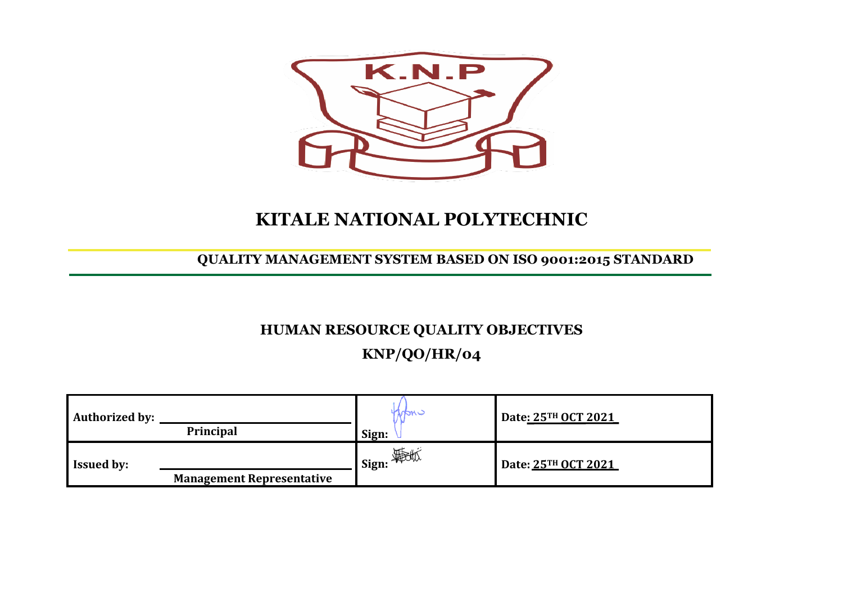

## **KITALE NATIONAL POLYTECHNIC**

**QUALITY MANAGEMENT SYSTEM BASED ON ISO 9001:2015 STANDARD**

## **HUMAN RESOURCE QUALITY OBJECTIVES KNP/QO/HR/04**

| <b>Authorized by:</b> | <b>Principal</b>                 | nan -<br>Sign:          | Date: 25TH OCT 2021 |
|-----------------------|----------------------------------|-------------------------|---------------------|
| <b>Issued by:</b>     | <b>Management Representative</b> | _1 Sign: <i>\$</i> poto | Date: 25TH OCT 2021 |